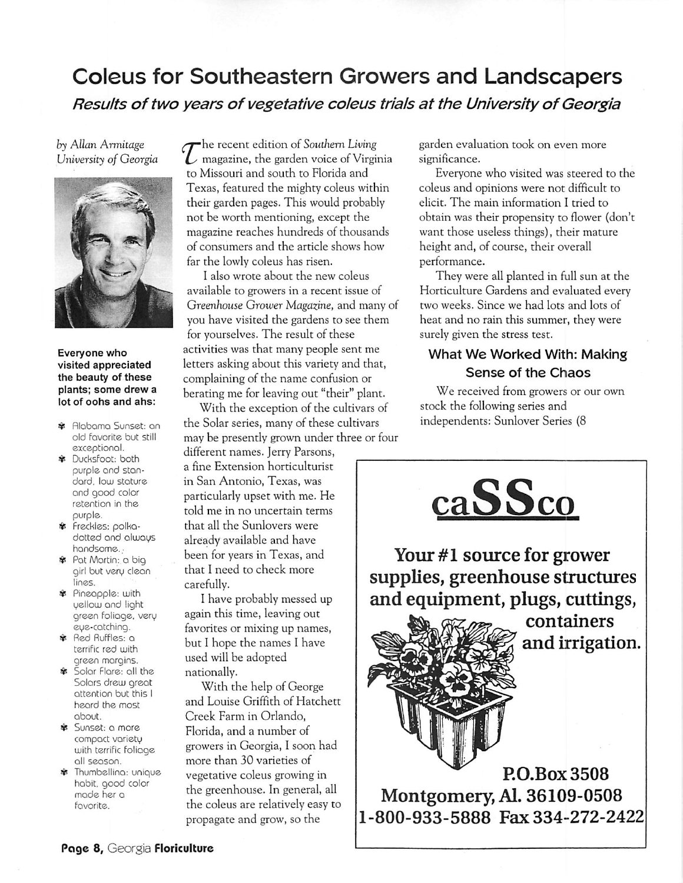## Coleus for Southeastern Growers and Landscapers **Results oftwo years of vegetative coleus trials at the University ofGeorgia**

### **by AllanArmitage University of Georgia**



#### *Everyone who visited appreciated the beauty of these plants; some drew a lot of oohs and ahs:*

- \* Alabama Sunset: an old favorite but still exceptional.
- \* Ducksfoot: both purple and stan dard, low stature and good color retention in the purple.
- \* freckles: polkadotted and always handsome.
- \* Pat Martin: a big girl but very clean lines.
- \* Pineapple: with yellow and light green foliage, very eye-catching.
- \* Red Ruffles: a terrific red with green margins.
- \* Solar Flare: all the Solars drew great attention but this I heard the most about.
- \* Sunset: a more compact variety with terrific foliage all season.
- \* Thumbellina: unique habit, good color made her a favorite.

**-he recent edition of Southern Living [\_s** magazine, the garden voice of Virginia to Missouri and south to Florida and Texas, featured the mighty coleus within their garden pages. This would probably not be worth mentioning, except the magazine reaches hundreds of thousands of consumers and the article shows how far the lowly coleus has risen.

I also wrote about the new coleus available to growers in a recent issue of **Greenhouse Grower Magazine,** and many of you have visited the gardens to see them for yourselves. The result of these activities was that many people sent me letters asking about this variety and that, complaining of the name confusion or berating me for leaving out "their" plant.

With the exception of the cultivars of the Solar series, many of these cultivars may be presently grown under three or four

different names. Jerry Parsons, a fine Extension horticulturist in San Antonio, Texas, was particularly upset with me. He told me in no uncertain terms that all the Sunlovers were already available and have been for years in Texas, and that I need to check more carefully.

I have probably messed up again this time, leaving out favorites or mixing up names, but I hope the names I have used will be adopted nationally.

With the help of George and Louise Griffith of Hatchett Creek Farm in Orlando, Florida, and a number of growers in Georgia, I soon had more than 30 varieties of vegetative coleus growing in the greenhouse. In general, all the coleus are relatively easy to propagate and grow, so the

garden evaluation took on even more significance.

Everyone who visited was steered to the coleus and opinions were not difficult to elicit. The main information I tried to obtain was their propensity to flower (don't want those useless things), their mature height and, of course, their overall performance.

They were all planted in full sun at the Horticulture Gardens and evaluated every two weeks. Since we had lots and lots of heat and no rain this summer, they were surely given the stress test.

## What We Worked With: Making Sense of the Chaos

We received from growers or our own stock the following series and independents: Sunlover Series (8